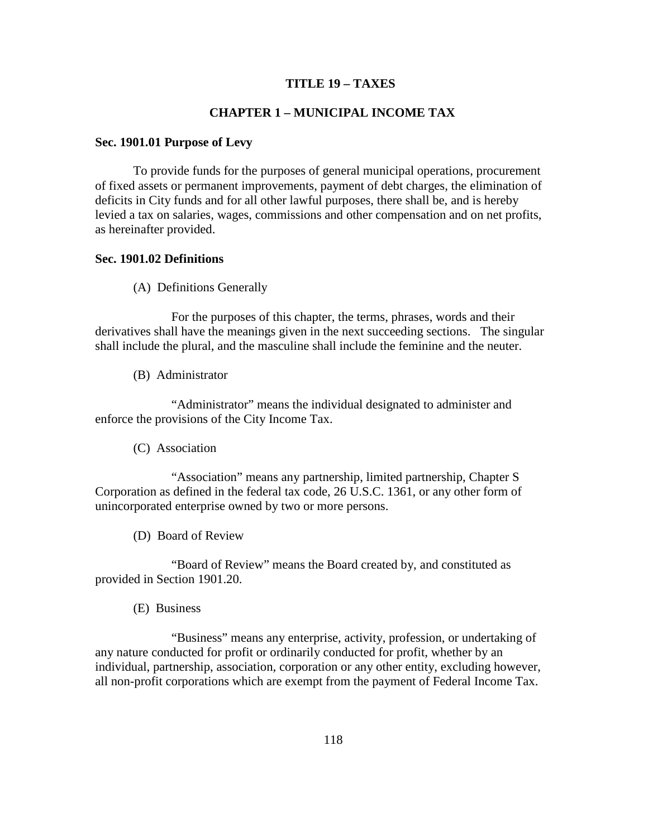## **TITLE 19 – TAXES**

# **CHAPTER 1 – MUNICIPAL INCOME TAX**

## **Sec. 1901.01 Purpose of Levy**

To provide funds for the purposes of general municipal operations, procurement of fixed assets or permanent improvements, payment of debt charges, the elimination of deficits in City funds and for all other lawful purposes, there shall be, and is hereby levied a tax on salaries, wages, commissions and other compensation and on net profits, as hereinafter provided.

#### **Sec. 1901.02 Definitions**

(A) Definitions Generally

 For the purposes of this chapter, the terms, phrases, words and their derivatives shall have the meanings given in the next succeeding sections. The singular shall include the plural, and the masculine shall include the feminine and the neuter.

(B) Administrator

 "Administrator" means the individual designated to administer and enforce the provisions of the City Income Tax.

(C) Association

 "Association" means any partnership, limited partnership, Chapter S Corporation as defined in the federal tax code, 26 U.S.C. 1361, or any other form of unincorporated enterprise owned by two or more persons.

(D) Board of Review

 "Board of Review" means the Board created by, and constituted as provided in Section 1901.20.

(E) Business

 "Business" means any enterprise, activity, profession, or undertaking of any nature conducted for profit or ordinarily conducted for profit, whether by an individual, partnership, association, corporation or any other entity, excluding however, all non-profit corporations which are exempt from the payment of Federal Income Tax.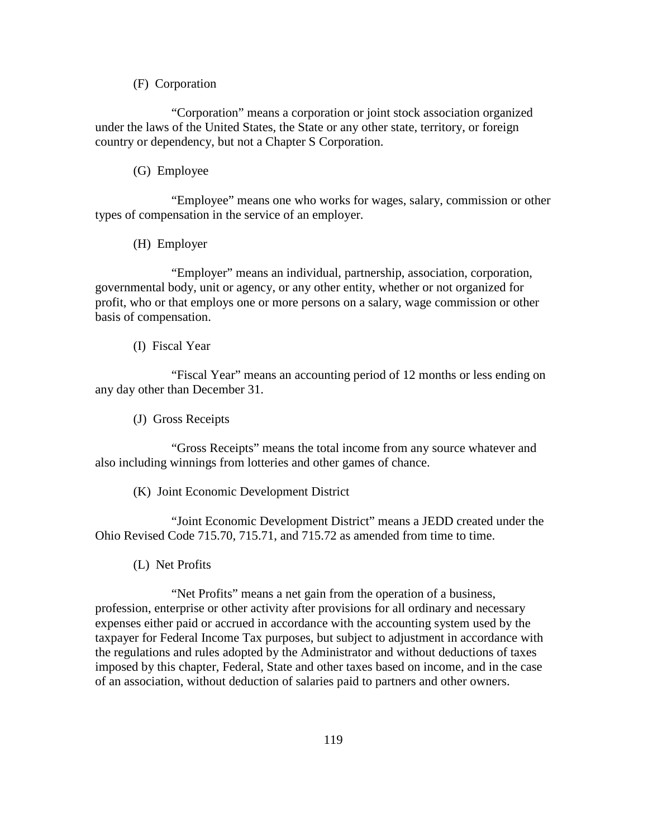## (F) Corporation

 "Corporation" means a corporation or joint stock association organized under the laws of the United States, the State or any other state, territory, or foreign country or dependency, but not a Chapter S Corporation.

## (G) Employee

 "Employee" means one who works for wages, salary, commission or other types of compensation in the service of an employer.

(H) Employer

 "Employer" means an individual, partnership, association, corporation, governmental body, unit or agency, or any other entity, whether or not organized for profit, who or that employs one or more persons on a salary, wage commission or other basis of compensation.

#### (I) Fiscal Year

 "Fiscal Year" means an accounting period of 12 months or less ending on any day other than December 31.

(J) Gross Receipts

 "Gross Receipts" means the total income from any source whatever and also including winnings from lotteries and other games of chance.

(K) Joint Economic Development District

 "Joint Economic Development District" means a JEDD created under the Ohio Revised Code 715.70, 715.71, and 715.72 as amended from time to time.

(L) Net Profits

 "Net Profits" means a net gain from the operation of a business, profession, enterprise or other activity after provisions for all ordinary and necessary expenses either paid or accrued in accordance with the accounting system used by the taxpayer for Federal Income Tax purposes, but subject to adjustment in accordance with the regulations and rules adopted by the Administrator and without deductions of taxes imposed by this chapter, Federal, State and other taxes based on income, and in the case of an association, without deduction of salaries paid to partners and other owners.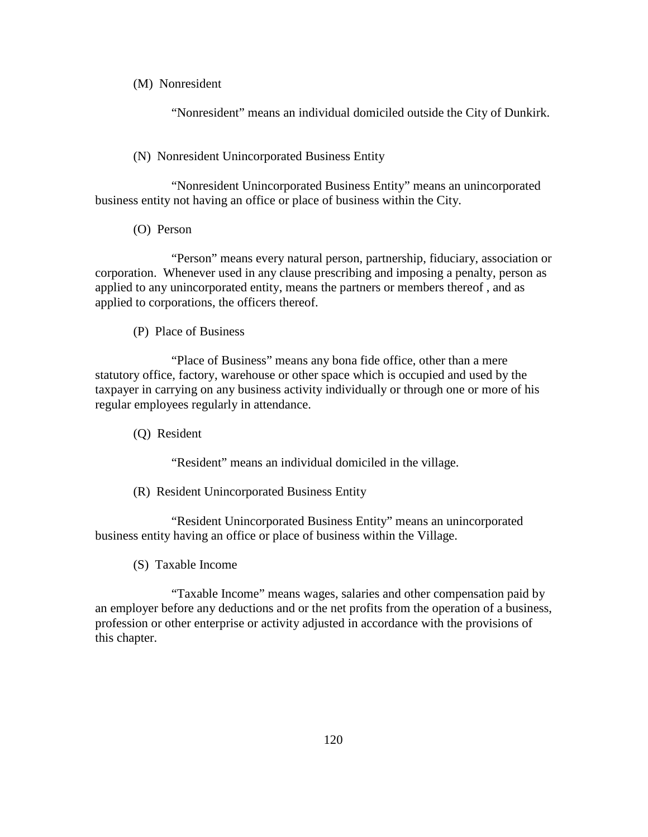# (M) Nonresident

"Nonresident" means an individual domiciled outside the City of Dunkirk.

# (N) Nonresident Unincorporated Business Entity

 "Nonresident Unincorporated Business Entity" means an unincorporated business entity not having an office or place of business within the City.

(O) Person

 "Person" means every natural person, partnership, fiduciary, association or corporation. Whenever used in any clause prescribing and imposing a penalty, person as applied to any unincorporated entity, means the partners or members thereof , and as applied to corporations, the officers thereof.

# (P) Place of Business

 "Place of Business" means any bona fide office, other than a mere statutory office, factory, warehouse or other space which is occupied and used by the taxpayer in carrying on any business activity individually or through one or more of his regular employees regularly in attendance.

(Q) Resident

"Resident" means an individual domiciled in the village.

(R) Resident Unincorporated Business Entity

 "Resident Unincorporated Business Entity" means an unincorporated business entity having an office or place of business within the Village.

(S) Taxable Income

 "Taxable Income" means wages, salaries and other compensation paid by an employer before any deductions and or the net profits from the operation of a business, profession or other enterprise or activity adjusted in accordance with the provisions of this chapter.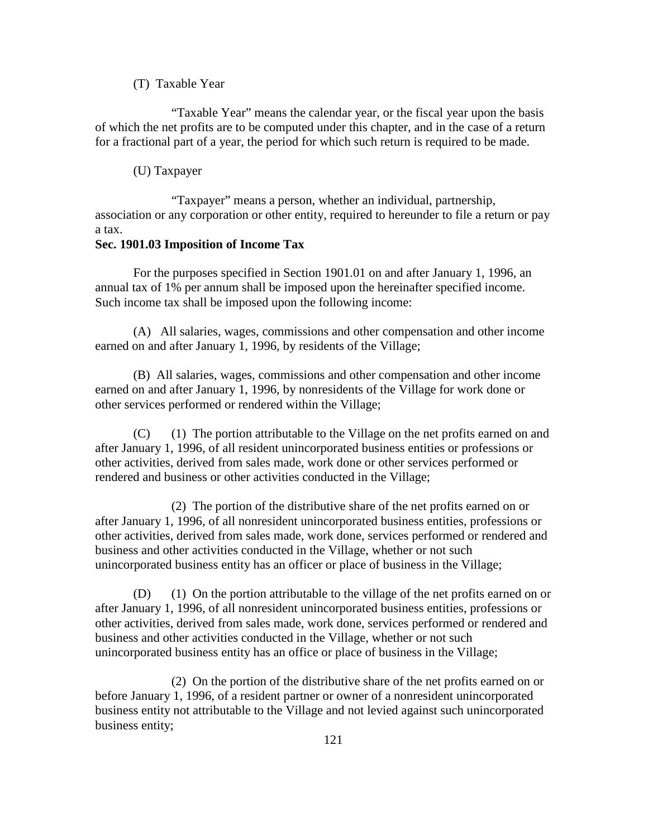## (T) Taxable Year

 "Taxable Year" means the calendar year, or the fiscal year upon the basis of which the net profits are to be computed under this chapter, and in the case of a return for a fractional part of a year, the period for which such return is required to be made.

#### (U) Taxpayer

 "Taxpayer" means a person, whether an individual, partnership, association or any corporation or other entity, required to hereunder to file a return or pay a tax.

# **Sec. 1901.03 Imposition of Income Tax**

 For the purposes specified in Section 1901.01 on and after January 1, 1996, an annual tax of 1% per annum shall be imposed upon the hereinafter specified income. Such income tax shall be imposed upon the following income:

(A) All salaries, wages, commissions and other compensation and other income earned on and after January 1, 1996, by residents of the Village;

(B) All salaries, wages, commissions and other compensation and other income earned on and after January 1, 1996, by nonresidents of the Village for work done or other services performed or rendered within the Village;

(C) (1) The portion attributable to the Village on the net profits earned on and after January 1, 1996, of all resident unincorporated business entities or professions or other activities, derived from sales made, work done or other services performed or rendered and business or other activities conducted in the Village;

 (2) The portion of the distributive share of the net profits earned on or after January 1, 1996, of all nonresident unincorporated business entities, professions or other activities, derived from sales made, work done, services performed or rendered and business and other activities conducted in the Village, whether or not such unincorporated business entity has an officer or place of business in the Village;

(D) (1) On the portion attributable to the village of the net profits earned on or after January 1, 1996, of all nonresident unincorporated business entities, professions or other activities, derived from sales made, work done, services performed or rendered and business and other activities conducted in the Village, whether or not such unincorporated business entity has an office or place of business in the Village;

 (2) On the portion of the distributive share of the net profits earned on or before January 1, 1996, of a resident partner or owner of a nonresident unincorporated business entity not attributable to the Village and not levied against such unincorporated business entity;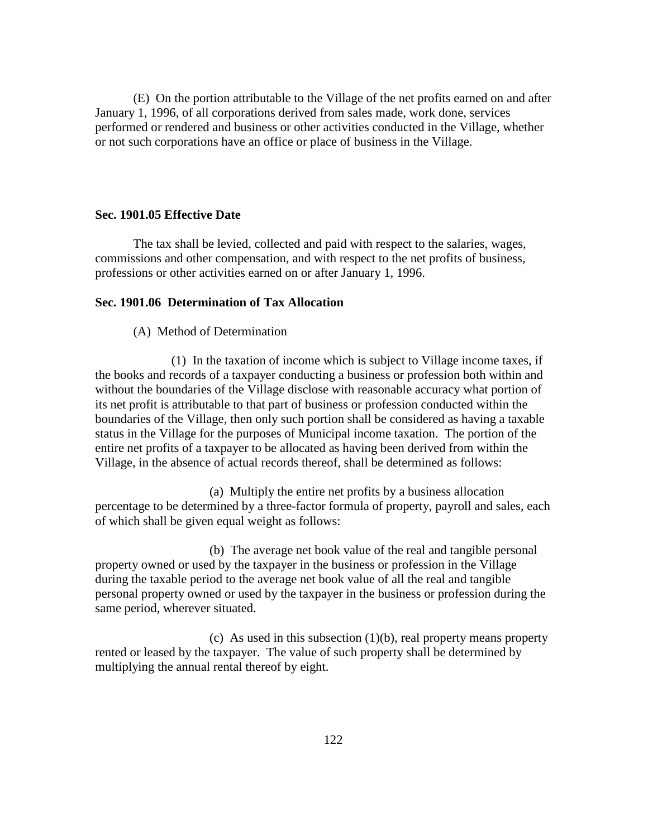(E) On the portion attributable to the Village of the net profits earned on and after January 1, 1996, of all corporations derived from sales made, work done, services performed or rendered and business or other activities conducted in the Village, whether or not such corporations have an office or place of business in the Village.

## **Sec. 1901.05 Effective Date**

 The tax shall be levied, collected and paid with respect to the salaries, wages, commissions and other compensation, and with respect to the net profits of business, professions or other activities earned on or after January 1, 1996.

# **Sec. 1901.06 Determination of Tax Allocation**

## (A) Method of Determination

 (1) In the taxation of income which is subject to Village income taxes, if the books and records of a taxpayer conducting a business or profession both within and without the boundaries of the Village disclose with reasonable accuracy what portion of its net profit is attributable to that part of business or profession conducted within the boundaries of the Village, then only such portion shall be considered as having a taxable status in the Village for the purposes of Municipal income taxation. The portion of the entire net profits of a taxpayer to be allocated as having been derived from within the Village, in the absence of actual records thereof, shall be determined as follows:

 (a) Multiply the entire net profits by a business allocation percentage to be determined by a three-factor formula of property, payroll and sales, each of which shall be given equal weight as follows:

 (b) The average net book value of the real and tangible personal property owned or used by the taxpayer in the business or profession in the Village during the taxable period to the average net book value of all the real and tangible personal property owned or used by the taxpayer in the business or profession during the same period, wherever situated.

(c) As used in this subsection  $(1)(b)$ , real property means property rented or leased by the taxpayer. The value of such property shall be determined by multiplying the annual rental thereof by eight.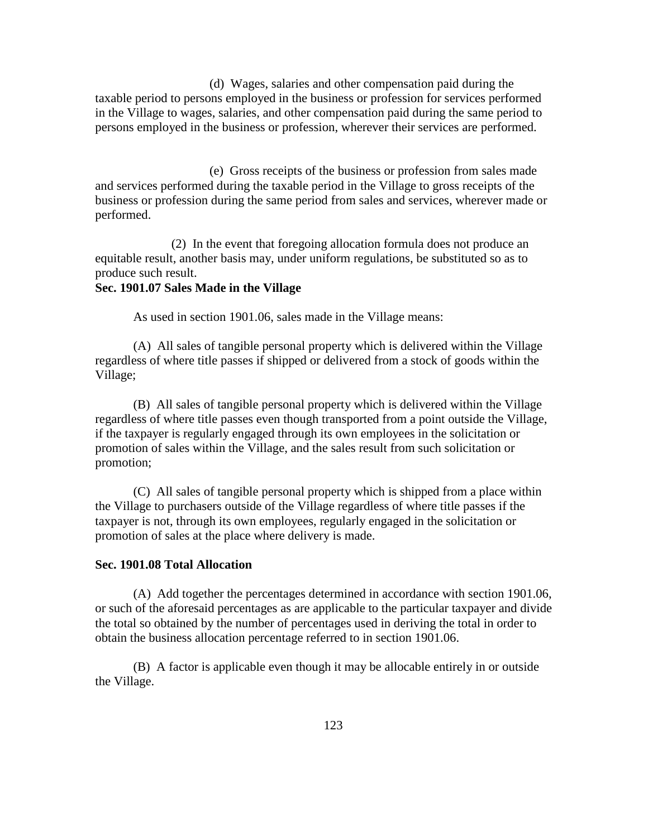(d) Wages, salaries and other compensation paid during the taxable period to persons employed in the business or profession for services performed in the Village to wages, salaries, and other compensation paid during the same period to persons employed in the business or profession, wherever their services are performed.

 (e) Gross receipts of the business or profession from sales made and services performed during the taxable period in the Village to gross receipts of the business or profession during the same period from sales and services, wherever made or performed.

 (2) In the event that foregoing allocation formula does not produce an equitable result, another basis may, under uniform regulations, be substituted so as to produce such result.

#### **Sec. 1901.07 Sales Made in the Village**

As used in section 1901.06, sales made in the Village means:

(A) All sales of tangible personal property which is delivered within the Village regardless of where title passes if shipped or delivered from a stock of goods within the Village;

(B) All sales of tangible personal property which is delivered within the Village regardless of where title passes even though transported from a point outside the Village, if the taxpayer is regularly engaged through its own employees in the solicitation or promotion of sales within the Village, and the sales result from such solicitation or promotion;

 (C) All sales of tangible personal property which is shipped from a place within the Village to purchasers outside of the Village regardless of where title passes if the taxpayer is not, through its own employees, regularly engaged in the solicitation or promotion of sales at the place where delivery is made.

#### **Sec. 1901.08 Total Allocation**

 (A) Add together the percentages determined in accordance with section 1901.06, or such of the aforesaid percentages as are applicable to the particular taxpayer and divide the total so obtained by the number of percentages used in deriving the total in order to obtain the business allocation percentage referred to in section 1901.06.

 (B) A factor is applicable even though it may be allocable entirely in or outside the Village.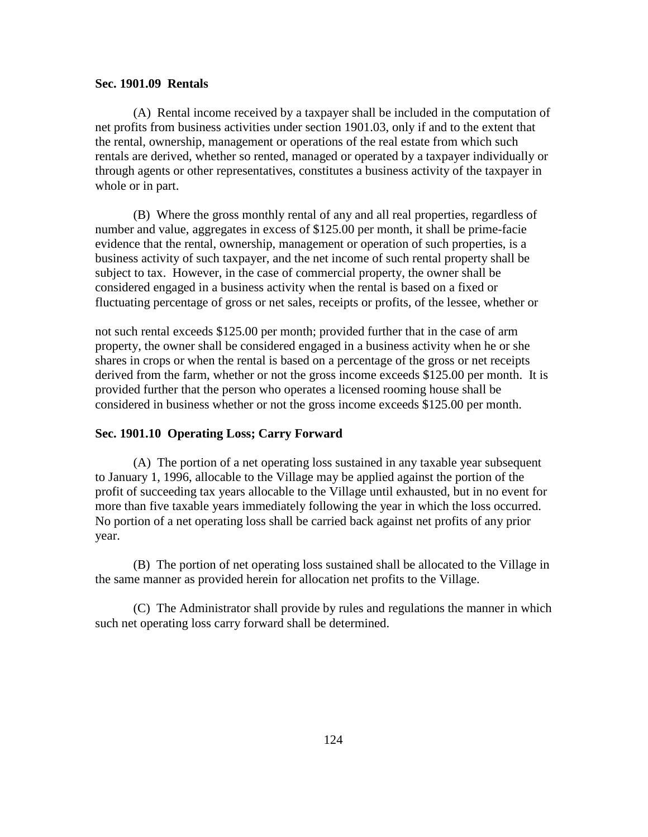#### **Sec. 1901.09 Rentals**

 (A) Rental income received by a taxpayer shall be included in the computation of net profits from business activities under section 1901.03, only if and to the extent that the rental, ownership, management or operations of the real estate from which such rentals are derived, whether so rented, managed or operated by a taxpayer individually or through agents or other representatives, constitutes a business activity of the taxpayer in whole or in part.

 (B) Where the gross monthly rental of any and all real properties, regardless of number and value, aggregates in excess of \$125.00 per month, it shall be prime-facie evidence that the rental, ownership, management or operation of such properties, is a business activity of such taxpayer, and the net income of such rental property shall be subject to tax. However, in the case of commercial property, the owner shall be considered engaged in a business activity when the rental is based on a fixed or fluctuating percentage of gross or net sales, receipts or profits, of the lessee, whether or

not such rental exceeds \$125.00 per month; provided further that in the case of arm property, the owner shall be considered engaged in a business activity when he or she shares in crops or when the rental is based on a percentage of the gross or net receipts derived from the farm, whether or not the gross income exceeds \$125.00 per month. It is provided further that the person who operates a licensed rooming house shall be considered in business whether or not the gross income exceeds \$125.00 per month.

## **Sec. 1901.10 Operating Loss; Carry Forward**

 (A) The portion of a net operating loss sustained in any taxable year subsequent to January 1, 1996, allocable to the Village may be applied against the portion of the profit of succeeding tax years allocable to the Village until exhausted, but in no event for more than five taxable years immediately following the year in which the loss occurred. No portion of a net operating loss shall be carried back against net profits of any prior year.

 (B) The portion of net operating loss sustained shall be allocated to the Village in the same manner as provided herein for allocation net profits to the Village.

(C) The Administrator shall provide by rules and regulations the manner in which such net operating loss carry forward shall be determined.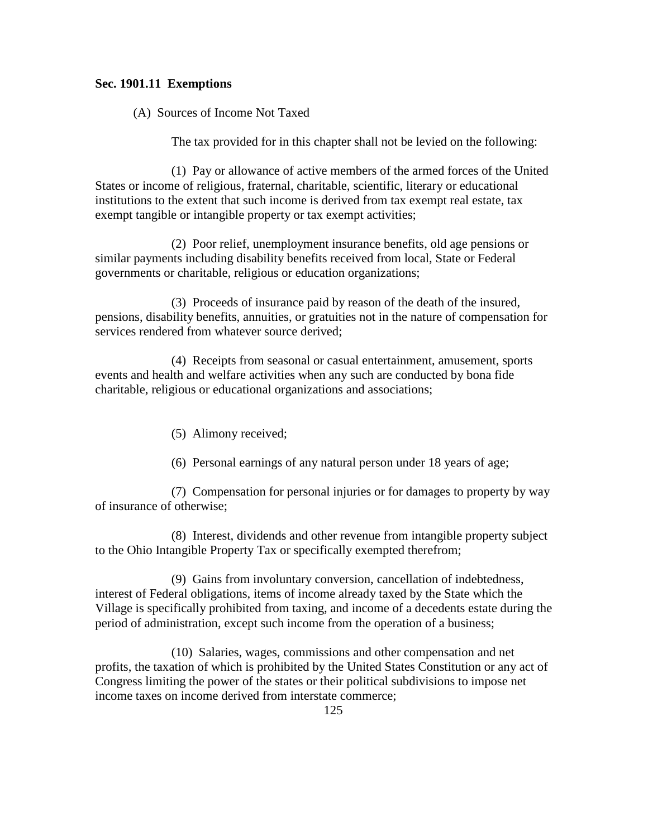# **Sec. 1901.11 Exemptions**

(A) Sources of Income Not Taxed

The tax provided for in this chapter shall not be levied on the following:

 (1) Pay or allowance of active members of the armed forces of the United States or income of religious, fraternal, charitable, scientific, literary or educational institutions to the extent that such income is derived from tax exempt real estate, tax exempt tangible or intangible property or tax exempt activities;

 (2) Poor relief, unemployment insurance benefits, old age pensions or similar payments including disability benefits received from local, State or Federal governments or charitable, religious or education organizations;

 (3) Proceeds of insurance paid by reason of the death of the insured, pensions, disability benefits, annuities, or gratuities not in the nature of compensation for services rendered from whatever source derived;

 (4) Receipts from seasonal or casual entertainment, amusement, sports events and health and welfare activities when any such are conducted by bona fide charitable, religious or educational organizations and associations;

- (5) Alimony received;
- (6) Personal earnings of any natural person under 18 years of age;

 (7) Compensation for personal injuries or for damages to property by way of insurance of otherwise;

 (8) Interest, dividends and other revenue from intangible property subject to the Ohio Intangible Property Tax or specifically exempted therefrom;

 (9) Gains from involuntary conversion, cancellation of indebtedness, interest of Federal obligations, items of income already taxed by the State which the Village is specifically prohibited from taxing, and income of a decedents estate during the period of administration, except such income from the operation of a business;

 (10) Salaries, wages, commissions and other compensation and net profits, the taxation of which is prohibited by the United States Constitution or any act of Congress limiting the power of the states or their political subdivisions to impose net income taxes on income derived from interstate commerce;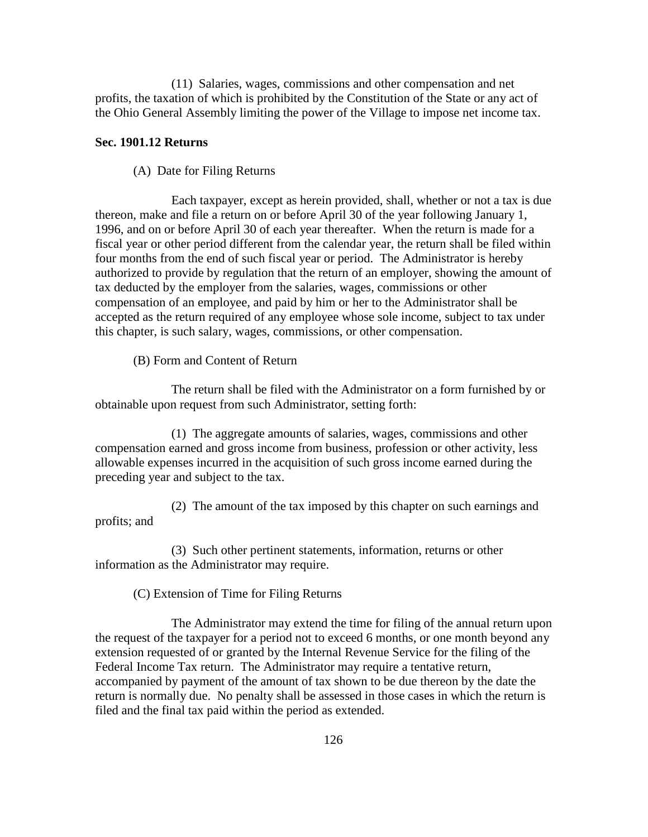(11) Salaries, wages, commissions and other compensation and net profits, the taxation of which is prohibited by the Constitution of the State or any act of the Ohio General Assembly limiting the power of the Village to impose net income tax.

## **Sec. 1901.12 Returns**

## (A) Date for Filing Returns

 Each taxpayer, except as herein provided, shall, whether or not a tax is due thereon, make and file a return on or before April 30 of the year following January 1, 1996, and on or before April 30 of each year thereafter. When the return is made for a fiscal year or other period different from the calendar year, the return shall be filed within four months from the end of such fiscal year or period. The Administrator is hereby authorized to provide by regulation that the return of an employer, showing the amount of tax deducted by the employer from the salaries, wages, commissions or other compensation of an employee, and paid by him or her to the Administrator shall be accepted as the return required of any employee whose sole income, subject to tax under this chapter, is such salary, wages, commissions, or other compensation.

(B) Form and Content of Return

 The return shall be filed with the Administrator on a form furnished by or obtainable upon request from such Administrator, setting forth:

 (1) The aggregate amounts of salaries, wages, commissions and other compensation earned and gross income from business, profession or other activity, less allowable expenses incurred in the acquisition of such gross income earned during the preceding year and subject to the tax.

 (2) The amount of the tax imposed by this chapter on such earnings and profits; and

 (3) Such other pertinent statements, information, returns or other information as the Administrator may require.

(C) Extension of Time for Filing Returns

 The Administrator may extend the time for filing of the annual return upon the request of the taxpayer for a period not to exceed 6 months, or one month beyond any extension requested of or granted by the Internal Revenue Service for the filing of the Federal Income Tax return. The Administrator may require a tentative return, accompanied by payment of the amount of tax shown to be due thereon by the date the return is normally due. No penalty shall be assessed in those cases in which the return is filed and the final tax paid within the period as extended.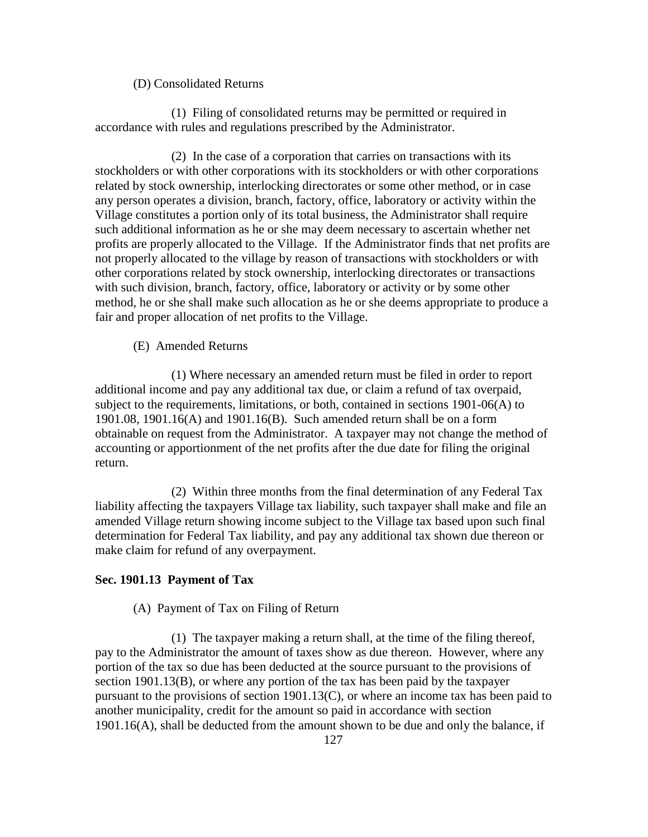#### (D) Consolidated Returns

 (1) Filing of consolidated returns may be permitted or required in accordance with rules and regulations prescribed by the Administrator.

 (2) In the case of a corporation that carries on transactions with its stockholders or with other corporations with its stockholders or with other corporations related by stock ownership, interlocking directorates or some other method, or in case any person operates a division, branch, factory, office, laboratory or activity within the Village constitutes a portion only of its total business, the Administrator shall require such additional information as he or she may deem necessary to ascertain whether net profits are properly allocated to the Village. If the Administrator finds that net profits are not properly allocated to the village by reason of transactions with stockholders or with other corporations related by stock ownership, interlocking directorates or transactions with such division, branch, factory, office, laboratory or activity or by some other method, he or she shall make such allocation as he or she deems appropriate to produce a fair and proper allocation of net profits to the Village.

(E) Amended Returns

 (1) Where necessary an amended return must be filed in order to report additional income and pay any additional tax due, or claim a refund of tax overpaid, subject to the requirements, limitations, or both, contained in sections 1901-06(A) to 1901.08, 1901.16(A) and 1901.16(B). Such amended return shall be on a form obtainable on request from the Administrator. A taxpayer may not change the method of accounting or apportionment of the net profits after the due date for filing the original return.

 (2) Within three months from the final determination of any Federal Tax liability affecting the taxpayers Village tax liability, such taxpayer shall make and file an amended Village return showing income subject to the Village tax based upon such final determination for Federal Tax liability, and pay any additional tax shown due thereon or make claim for refund of any overpayment.

#### **Sec. 1901.13 Payment of Tax**

#### (A) Payment of Tax on Filing of Return

 (1) The taxpayer making a return shall, at the time of the filing thereof, pay to the Administrator the amount of taxes show as due thereon. However, where any portion of the tax so due has been deducted at the source pursuant to the provisions of section 1901.13(B), or where any portion of the tax has been paid by the taxpayer pursuant to the provisions of section 1901.13(C), or where an income tax has been paid to another municipality, credit for the amount so paid in accordance with section  $1901.16(A)$ , shall be deducted from the amount shown to be due and only the balance, if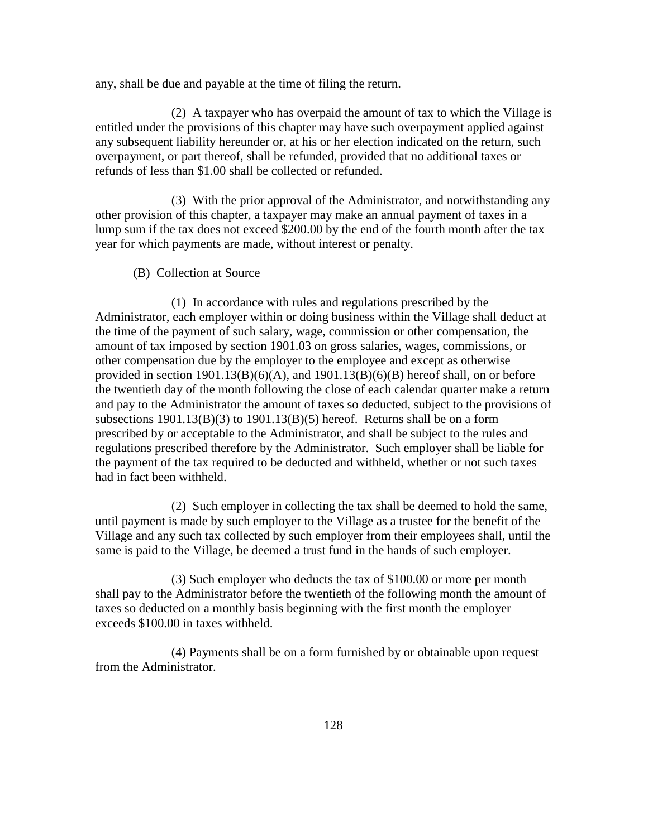any, shall be due and payable at the time of filing the return.

 (2) A taxpayer who has overpaid the amount of tax to which the Village is entitled under the provisions of this chapter may have such overpayment applied against any subsequent liability hereunder or, at his or her election indicated on the return, such overpayment, or part thereof, shall be refunded, provided that no additional taxes or refunds of less than \$1.00 shall be collected or refunded.

 (3) With the prior approval of the Administrator, and notwithstanding any other provision of this chapter, a taxpayer may make an annual payment of taxes in a lump sum if the tax does not exceed \$200.00 by the end of the fourth month after the tax year for which payments are made, without interest or penalty.

(B) Collection at Source

 (1) In accordance with rules and regulations prescribed by the Administrator, each employer within or doing business within the Village shall deduct at the time of the payment of such salary, wage, commission or other compensation, the amount of tax imposed by section 1901.03 on gross salaries, wages, commissions, or other compensation due by the employer to the employee and except as otherwise provided in section  $1901.13(B)(6)(A)$ , and  $1901.13(B)(6)(B)$  hereof shall, on or before the twentieth day of the month following the close of each calendar quarter make a return and pay to the Administrator the amount of taxes so deducted, subject to the provisions of subsections  $1901.13(B)(3)$  to  $1901.13(B)(5)$  hereof. Returns shall be on a form prescribed by or acceptable to the Administrator, and shall be subject to the rules and regulations prescribed therefore by the Administrator. Such employer shall be liable for the payment of the tax required to be deducted and withheld, whether or not such taxes had in fact been withheld.

 (2) Such employer in collecting the tax shall be deemed to hold the same, until payment is made by such employer to the Village as a trustee for the benefit of the Village and any such tax collected by such employer from their employees shall, until the same is paid to the Village, be deemed a trust fund in the hands of such employer.

 (3) Such employer who deducts the tax of \$100.00 or more per month shall pay to the Administrator before the twentieth of the following month the amount of taxes so deducted on a monthly basis beginning with the first month the employer exceeds \$100.00 in taxes withheld.

 (4) Payments shall be on a form furnished by or obtainable upon request from the Administrator.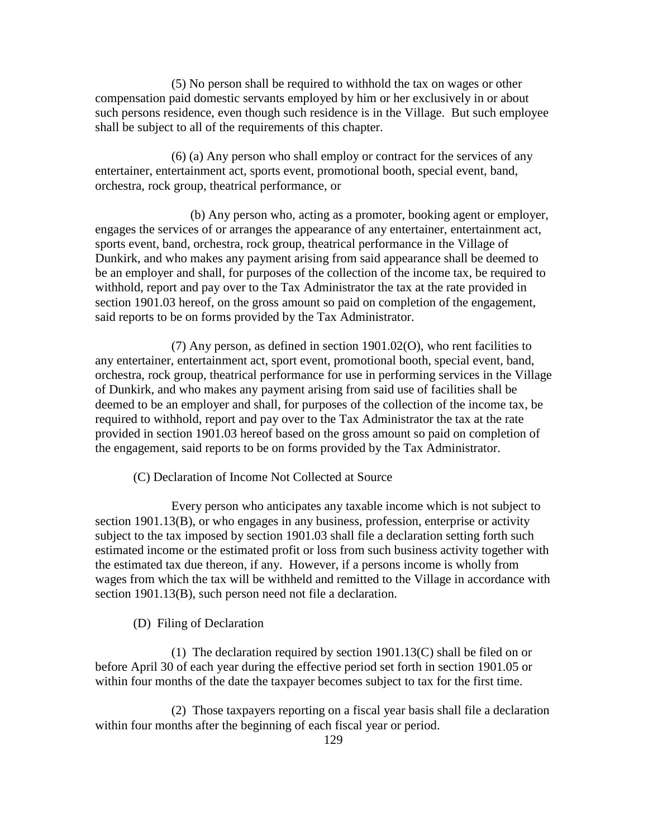(5) No person shall be required to withhold the tax on wages or other compensation paid domestic servants employed by him or her exclusively in or about such persons residence, even though such residence is in the Village. But such employee shall be subject to all of the requirements of this chapter.

 (6) (a) Any person who shall employ or contract for the services of any entertainer, entertainment act, sports event, promotional booth, special event, band, orchestra, rock group, theatrical performance, or

 (b) Any person who, acting as a promoter, booking agent or employer, engages the services of or arranges the appearance of any entertainer, entertainment act, sports event, band, orchestra, rock group, theatrical performance in the Village of Dunkirk, and who makes any payment arising from said appearance shall be deemed to be an employer and shall, for purposes of the collection of the income tax, be required to withhold, report and pay over to the Tax Administrator the tax at the rate provided in section 1901.03 hereof, on the gross amount so paid on completion of the engagement, said reports to be on forms provided by the Tax Administrator.

 (7) Any person, as defined in section 1901.02(O), who rent facilities to any entertainer, entertainment act, sport event, promotional booth, special event, band, orchestra, rock group, theatrical performance for use in performing services in the Village of Dunkirk, and who makes any payment arising from said use of facilities shall be deemed to be an employer and shall, for purposes of the collection of the income tax, be required to withhold, report and pay over to the Tax Administrator the tax at the rate provided in section 1901.03 hereof based on the gross amount so paid on completion of the engagement, said reports to be on forms provided by the Tax Administrator.

(C) Declaration of Income Not Collected at Source

 Every person who anticipates any taxable income which is not subject to section 1901.13(B), or who engages in any business, profession, enterprise or activity subject to the tax imposed by section 1901.03 shall file a declaration setting forth such estimated income or the estimated profit or loss from such business activity together with the estimated tax due thereon, if any. However, if a persons income is wholly from wages from which the tax will be withheld and remitted to the Village in accordance with section 1901.13(B), such person need not file a declaration.

(D) Filing of Declaration

 (1) The declaration required by section 1901.13(C) shall be filed on or before April 30 of each year during the effective period set forth in section 1901.05 or within four months of the date the taxpayer becomes subject to tax for the first time.

 (2) Those taxpayers reporting on a fiscal year basis shall file a declaration within four months after the beginning of each fiscal year or period.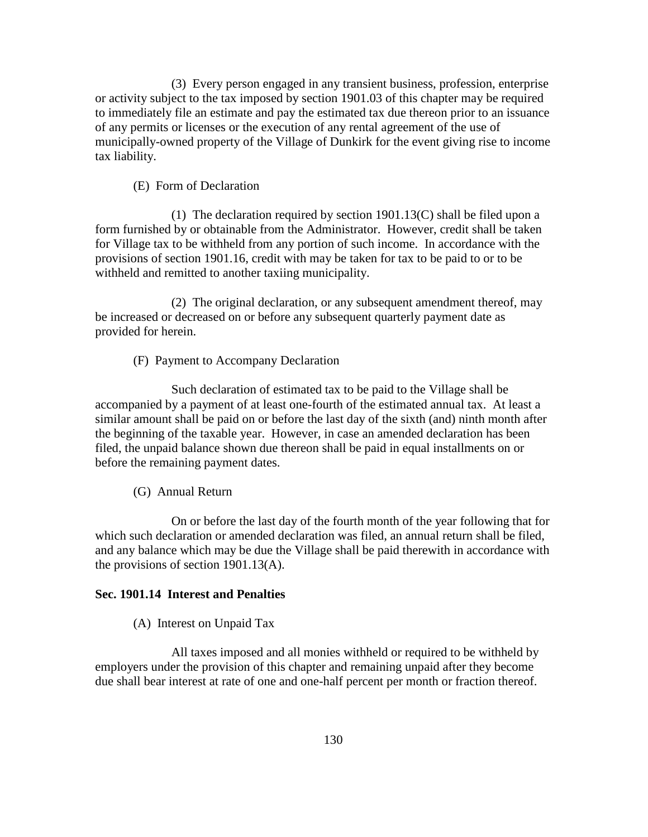(3) Every person engaged in any transient business, profession, enterprise or activity subject to the tax imposed by section 1901.03 of this chapter may be required to immediately file an estimate and pay the estimated tax due thereon prior to an issuance of any permits or licenses or the execution of any rental agreement of the use of municipally-owned property of the Village of Dunkirk for the event giving rise to income tax liability.

## (E) Form of Declaration

 (1) The declaration required by section 1901.13(C) shall be filed upon a form furnished by or obtainable from the Administrator. However, credit shall be taken for Village tax to be withheld from any portion of such income. In accordance with the provisions of section 1901.16, credit with may be taken for tax to be paid to or to be withheld and remitted to another taxiing municipality.

 (2) The original declaration, or any subsequent amendment thereof, may be increased or decreased on or before any subsequent quarterly payment date as provided for herein.

(F) Payment to Accompany Declaration

 Such declaration of estimated tax to be paid to the Village shall be accompanied by a payment of at least one-fourth of the estimated annual tax. At least a similar amount shall be paid on or before the last day of the sixth (and) ninth month after the beginning of the taxable year. However, in case an amended declaration has been filed, the unpaid balance shown due thereon shall be paid in equal installments on or before the remaining payment dates.

# (G) Annual Return

 On or before the last day of the fourth month of the year following that for which such declaration or amended declaration was filed, an annual return shall be filed, and any balance which may be due the Village shall be paid therewith in accordance with the provisions of section 1901.13(A).

# **Sec. 1901.14 Interest and Penalties**

(A) Interest on Unpaid Tax

 All taxes imposed and all monies withheld or required to be withheld by employers under the provision of this chapter and remaining unpaid after they become due shall bear interest at rate of one and one-half percent per month or fraction thereof.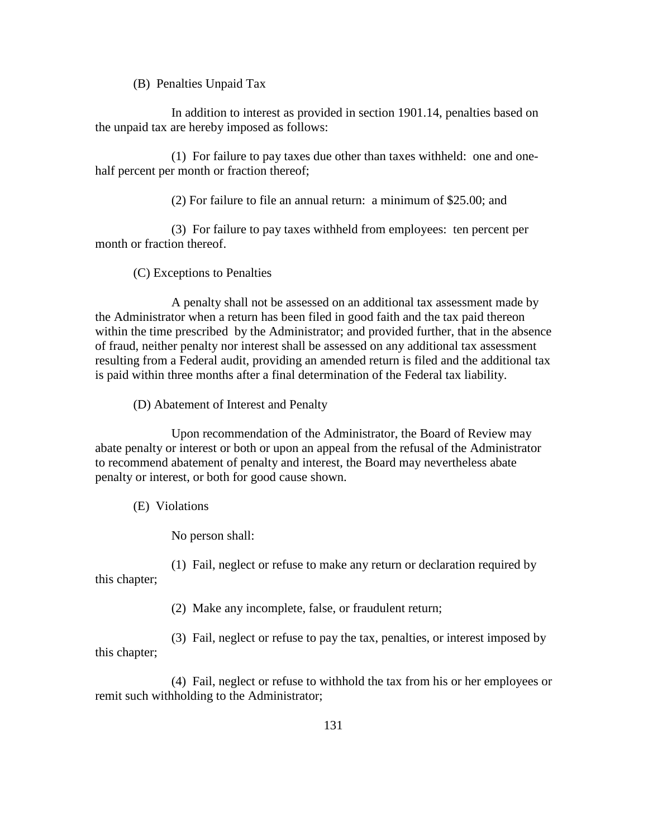(B) Penalties Unpaid Tax

 In addition to interest as provided in section 1901.14, penalties based on the unpaid tax are hereby imposed as follows:

 (1) For failure to pay taxes due other than taxes withheld: one and onehalf percent per month or fraction thereof;

(2) For failure to file an annual return: a minimum of \$25.00; and

 (3) For failure to pay taxes withheld from employees: ten percent per month or fraction thereof.

(C) Exceptions to Penalties

 A penalty shall not be assessed on an additional tax assessment made by the Administrator when a return has been filed in good faith and the tax paid thereon within the time prescribed by the Administrator; and provided further, that in the absence of fraud, neither penalty nor interest shall be assessed on any additional tax assessment resulting from a Federal audit, providing an amended return is filed and the additional tax is paid within three months after a final determination of the Federal tax liability.

(D) Abatement of Interest and Penalty

 Upon recommendation of the Administrator, the Board of Review may abate penalty or interest or both or upon an appeal from the refusal of the Administrator to recommend abatement of penalty and interest, the Board may nevertheless abate penalty or interest, or both for good cause shown.

(E) Violations

No person shall:

 (1) Fail, neglect or refuse to make any return or declaration required by this chapter;

(2) Make any incomplete, false, or fraudulent return;

 (3) Fail, neglect or refuse to pay the tax, penalties, or interest imposed by this chapter;

 (4) Fail, neglect or refuse to withhold the tax from his or her employees or remit such withholding to the Administrator;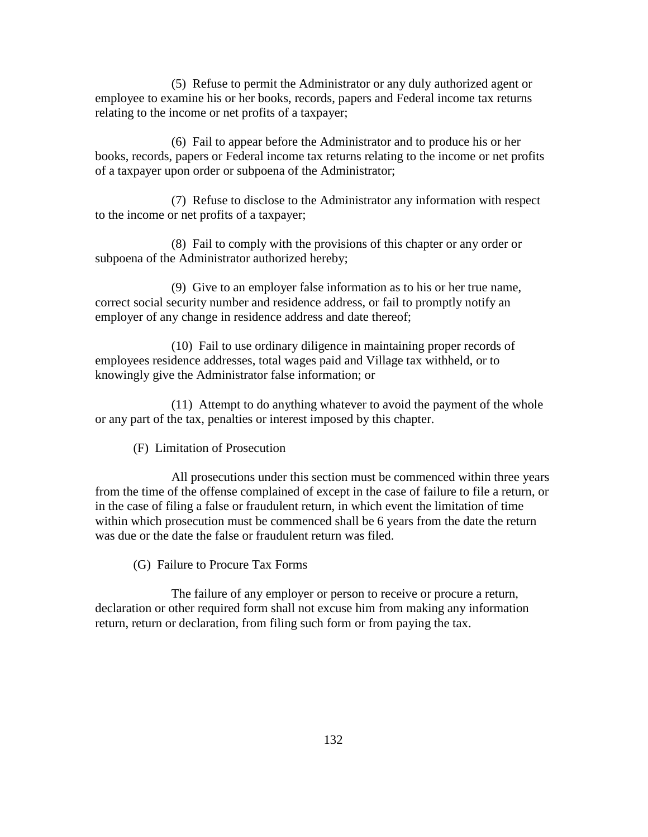(5) Refuse to permit the Administrator or any duly authorized agent or employee to examine his or her books, records, papers and Federal income tax returns relating to the income or net profits of a taxpayer;

 (6) Fail to appear before the Administrator and to produce his or her books, records, papers or Federal income tax returns relating to the income or net profits of a taxpayer upon order or subpoena of the Administrator;

 (7) Refuse to disclose to the Administrator any information with respect to the income or net profits of a taxpayer;

 (8) Fail to comply with the provisions of this chapter or any order or subpoena of the Administrator authorized hereby;

 (9) Give to an employer false information as to his or her true name, correct social security number and residence address, or fail to promptly notify an employer of any change in residence address and date thereof;

 (10) Fail to use ordinary diligence in maintaining proper records of employees residence addresses, total wages paid and Village tax withheld, or to knowingly give the Administrator false information; or

 (11) Attempt to do anything whatever to avoid the payment of the whole or any part of the tax, penalties or interest imposed by this chapter.

(F) Limitation of Prosecution

 All prosecutions under this section must be commenced within three years from the time of the offense complained of except in the case of failure to file a return, or in the case of filing a false or fraudulent return, in which event the limitation of time within which prosecution must be commenced shall be 6 years from the date the return was due or the date the false or fraudulent return was filed.

(G) Failure to Procure Tax Forms

 The failure of any employer or person to receive or procure a return, declaration or other required form shall not excuse him from making any information return, return or declaration, from filing such form or from paying the tax.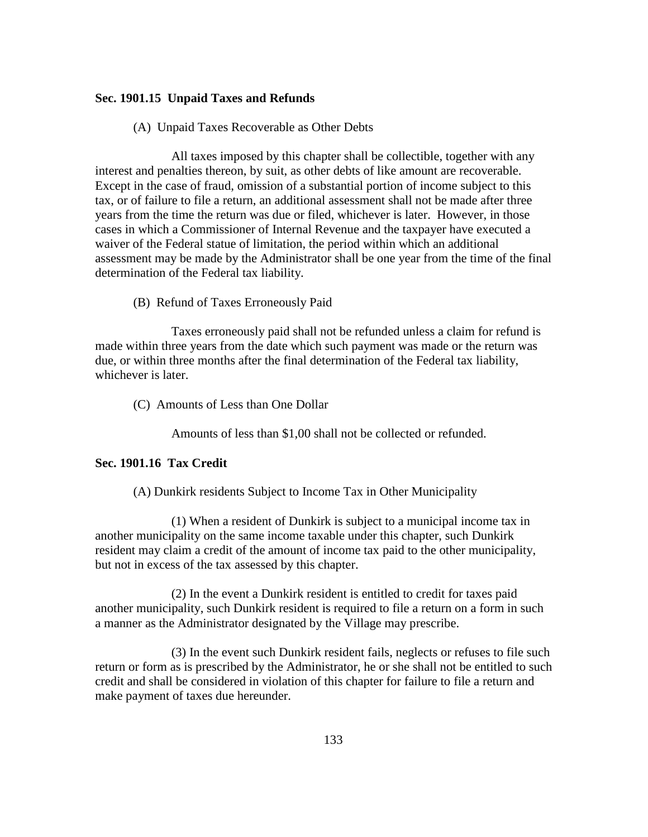## **Sec. 1901.15 Unpaid Taxes and Refunds**

(A) Unpaid Taxes Recoverable as Other Debts

 All taxes imposed by this chapter shall be collectible, together with any interest and penalties thereon, by suit, as other debts of like amount are recoverable. Except in the case of fraud, omission of a substantial portion of income subject to this tax, or of failure to file a return, an additional assessment shall not be made after three years from the time the return was due or filed, whichever is later. However, in those cases in which a Commissioner of Internal Revenue and the taxpayer have executed a waiver of the Federal statue of limitation, the period within which an additional assessment may be made by the Administrator shall be one year from the time of the final determination of the Federal tax liability.

(B) Refund of Taxes Erroneously Paid

 Taxes erroneously paid shall not be refunded unless a claim for refund is made within three years from the date which such payment was made or the return was due, or within three months after the final determination of the Federal tax liability, whichever is later.

(C) Amounts of Less than One Dollar

Amounts of less than \$1,00 shall not be collected or refunded.

# **Sec. 1901.16 Tax Credit**

(A) Dunkirk residents Subject to Income Tax in Other Municipality

 (1) When a resident of Dunkirk is subject to a municipal income tax in another municipality on the same income taxable under this chapter, such Dunkirk resident may claim a credit of the amount of income tax paid to the other municipality, but not in excess of the tax assessed by this chapter.

 (2) In the event a Dunkirk resident is entitled to credit for taxes paid another municipality, such Dunkirk resident is required to file a return on a form in such a manner as the Administrator designated by the Village may prescribe.

 (3) In the event such Dunkirk resident fails, neglects or refuses to file such return or form as is prescribed by the Administrator, he or she shall not be entitled to such credit and shall be considered in violation of this chapter for failure to file a return and make payment of taxes due hereunder.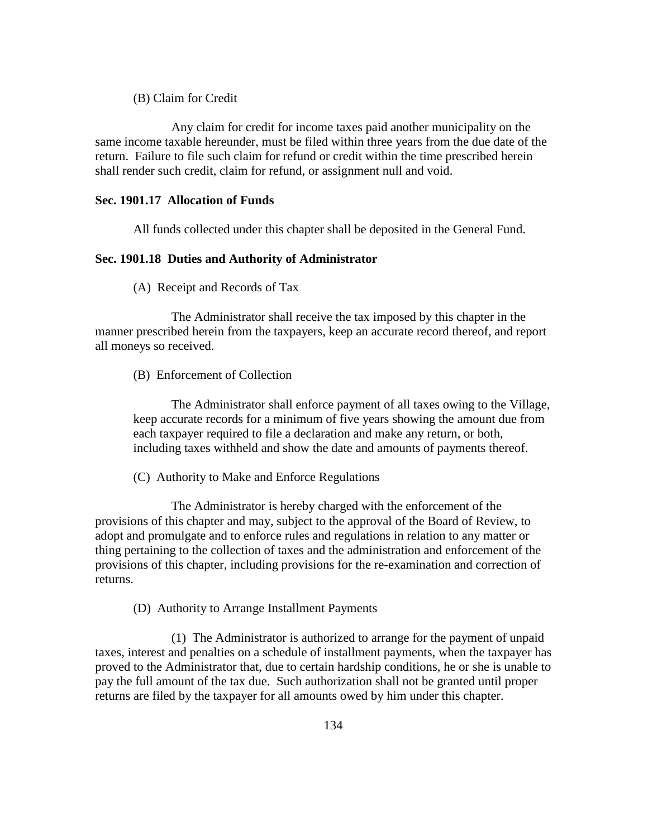(B) Claim for Credit

 Any claim for credit for income taxes paid another municipality on the same income taxable hereunder, must be filed within three years from the due date of the return. Failure to file such claim for refund or credit within the time prescribed herein shall render such credit, claim for refund, or assignment null and void.

# **Sec. 1901.17 Allocation of Funds**

All funds collected under this chapter shall be deposited in the General Fund.

## **Sec. 1901.18 Duties and Authority of Administrator**

(A) Receipt and Records of Tax

 The Administrator shall receive the tax imposed by this chapter in the manner prescribed herein from the taxpayers, keep an accurate record thereof, and report all moneys so received.

(B) Enforcement of Collection

The Administrator shall enforce payment of all taxes owing to the Village, keep accurate records for a minimum of five years showing the amount due from each taxpayer required to file a declaration and make any return, or both, including taxes withheld and show the date and amounts of payments thereof.

(C) Authority to Make and Enforce Regulations

 The Administrator is hereby charged with the enforcement of the provisions of this chapter and may, subject to the approval of the Board of Review, to adopt and promulgate and to enforce rules and regulations in relation to any matter or thing pertaining to the collection of taxes and the administration and enforcement of the provisions of this chapter, including provisions for the re-examination and correction of returns.

(D) Authority to Arrange Installment Payments

 (1) The Administrator is authorized to arrange for the payment of unpaid taxes, interest and penalties on a schedule of installment payments, when the taxpayer has proved to the Administrator that, due to certain hardship conditions, he or she is unable to pay the full amount of the tax due. Such authorization shall not be granted until proper returns are filed by the taxpayer for all amounts owed by him under this chapter.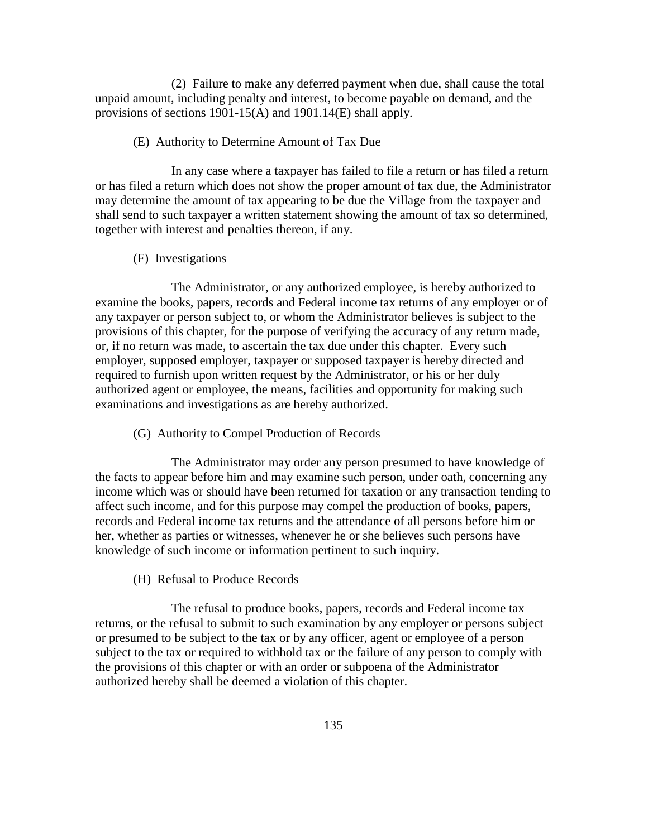(2) Failure to make any deferred payment when due, shall cause the total unpaid amount, including penalty and interest, to become payable on demand, and the provisions of sections 1901-15(A) and 1901.14(E) shall apply.

## (E) Authority to Determine Amount of Tax Due

 In any case where a taxpayer has failed to file a return or has filed a return or has filed a return which does not show the proper amount of tax due, the Administrator may determine the amount of tax appearing to be due the Village from the taxpayer and shall send to such taxpayer a written statement showing the amount of tax so determined, together with interest and penalties thereon, if any.

## (F) Investigations

 The Administrator, or any authorized employee, is hereby authorized to examine the books, papers, records and Federal income tax returns of any employer or of any taxpayer or person subject to, or whom the Administrator believes is subject to the provisions of this chapter, for the purpose of verifying the accuracy of any return made, or, if no return was made, to ascertain the tax due under this chapter. Every such employer, supposed employer, taxpayer or supposed taxpayer is hereby directed and required to furnish upon written request by the Administrator, or his or her duly authorized agent or employee, the means, facilities and opportunity for making such examinations and investigations as are hereby authorized.

(G) Authority to Compel Production of Records

 The Administrator may order any person presumed to have knowledge of the facts to appear before him and may examine such person, under oath, concerning any income which was or should have been returned for taxation or any transaction tending to affect such income, and for this purpose may compel the production of books, papers, records and Federal income tax returns and the attendance of all persons before him or her, whether as parties or witnesses, whenever he or she believes such persons have knowledge of such income or information pertinent to such inquiry.

#### (H) Refusal to Produce Records

 The refusal to produce books, papers, records and Federal income tax returns, or the refusal to submit to such examination by any employer or persons subject or presumed to be subject to the tax or by any officer, agent or employee of a person subject to the tax or required to withhold tax or the failure of any person to comply with the provisions of this chapter or with an order or subpoena of the Administrator authorized hereby shall be deemed a violation of this chapter.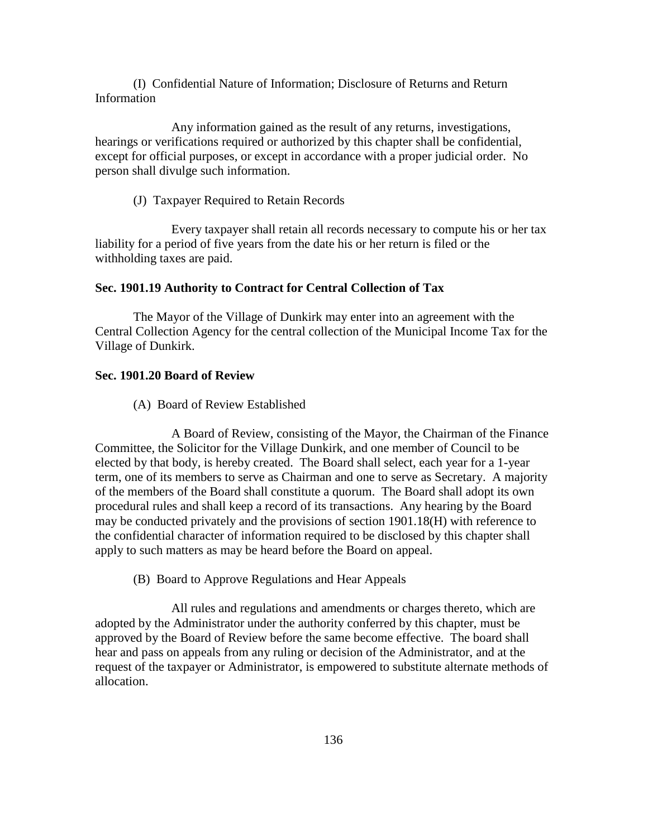(I) Confidential Nature of Information; Disclosure of Returns and Return Information

 Any information gained as the result of any returns, investigations, hearings or verifications required or authorized by this chapter shall be confidential, except for official purposes, or except in accordance with a proper judicial order. No person shall divulge such information.

(J) Taxpayer Required to Retain Records

 Every taxpayer shall retain all records necessary to compute his or her tax liability for a period of five years from the date his or her return is filed or the withholding taxes are paid.

## **Sec. 1901.19 Authority to Contract for Central Collection of Tax**

The Mayor of the Village of Dunkirk may enter into an agreement with the Central Collection Agency for the central collection of the Municipal Income Tax for the Village of Dunkirk.

#### **Sec. 1901.20 Board of Review**

(A) Board of Review Established

 A Board of Review, consisting of the Mayor, the Chairman of the Finance Committee, the Solicitor for the Village Dunkirk, and one member of Council to be elected by that body, is hereby created. The Board shall select, each year for a 1-year term, one of its members to serve as Chairman and one to serve as Secretary. A majority of the members of the Board shall constitute a quorum. The Board shall adopt its own procedural rules and shall keep a record of its transactions. Any hearing by the Board may be conducted privately and the provisions of section 1901.18(H) with reference to the confidential character of information required to be disclosed by this chapter shall apply to such matters as may be heard before the Board on appeal.

(B) Board to Approve Regulations and Hear Appeals

 All rules and regulations and amendments or charges thereto, which are adopted by the Administrator under the authority conferred by this chapter, must be approved by the Board of Review before the same become effective. The board shall hear and pass on appeals from any ruling or decision of the Administrator, and at the request of the taxpayer or Administrator, is empowered to substitute alternate methods of allocation.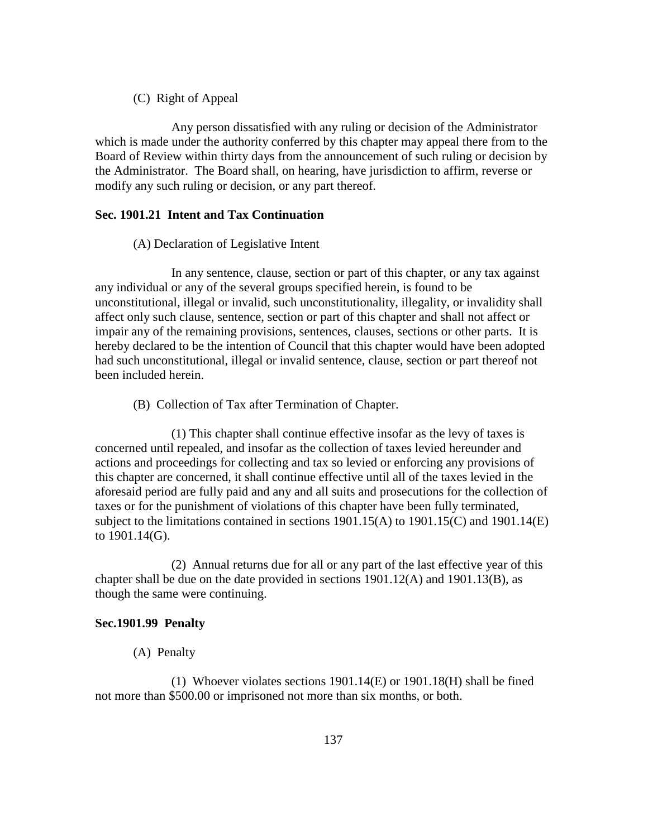(C) Right of Appeal

 Any person dissatisfied with any ruling or decision of the Administrator which is made under the authority conferred by this chapter may appeal there from to the Board of Review within thirty days from the announcement of such ruling or decision by the Administrator. The Board shall, on hearing, have jurisdiction to affirm, reverse or modify any such ruling or decision, or any part thereof.

## **Sec. 1901.21 Intent and Tax Continuation**

(A) Declaration of Legislative Intent

 In any sentence, clause, section or part of this chapter, or any tax against any individual or any of the several groups specified herein, is found to be unconstitutional, illegal or invalid, such unconstitutionality, illegality, or invalidity shall affect only such clause, sentence, section or part of this chapter and shall not affect or impair any of the remaining provisions, sentences, clauses, sections or other parts. It is hereby declared to be the intention of Council that this chapter would have been adopted had such unconstitutional, illegal or invalid sentence, clause, section or part thereof not been included herein.

(B) Collection of Tax after Termination of Chapter.

 (1) This chapter shall continue effective insofar as the levy of taxes is concerned until repealed, and insofar as the collection of taxes levied hereunder and actions and proceedings for collecting and tax so levied or enforcing any provisions of this chapter are concerned, it shall continue effective until all of the taxes levied in the aforesaid period are fully paid and any and all suits and prosecutions for the collection of taxes or for the punishment of violations of this chapter have been fully terminated, subject to the limitations contained in sections 1901.15(A) to 1901.15(C) and 1901.14(E) to 1901.14(G).

 (2) Annual returns due for all or any part of the last effective year of this chapter shall be due on the date provided in sections 1901.12(A) and 1901.13(B), as though the same were continuing.

## **Sec.1901.99 Penalty**

(A) Penalty

 (1) Whoever violates sections 1901.14(E) or 1901.18(H) shall be fined not more than \$500.00 or imprisoned not more than six months, or both.